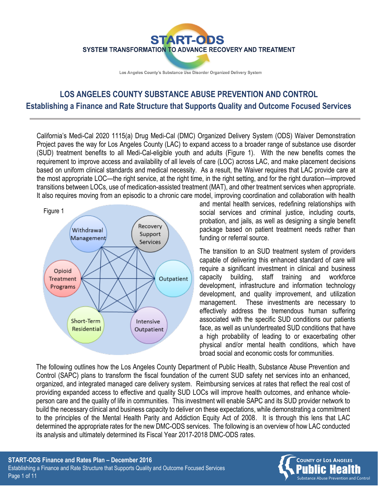

Los Angeles County's Substance Use Disorder Organized Delivery System

# **LOS ANGELES COUNTY SUBSTANCE ABUSE PREVENTION AND CONTROL Establishing a Finance and Rate Structure that Supports Quality and Outcome Focused Services**

California's Medi-Cal 2020 1115(a) Drug Medi-Cal (DMC) Organized Delivery System (ODS) Waiver Demonstration Project paves the way for Los Angeles County (LAC) to expand access to a broader range of substance use disorder (SUD) treatment benefits to all Medi-Cal-eligible youth and adults (Figure 1). With the new benefits comes the requirement to improve access and availability of all levels of care (LOC) across LAC, and make placement decisions based on uniform clinical standards and medical necessity. As a result, the Waiver requires that LAC provide care at the most appropriate LOC—the right service, at the right time, in the right setting, and for the right duration—improved transitions between LOCs, use of medication-assisted treatment (MAT), and other treatment services when appropriate. It also requires moving from an episodic to a chronic care model, improving coordination and collaboration with health



and mental health services, redefining relationships with social services and criminal justice, including courts, probation, and jails, as well as designing a single benefit package based on patient treatment needs rather than funding or referral source.

The transition to an SUD treatment system of providers capable of delivering this enhanced standard of care will require a significant investment in clinical and business capacity building, staff training and workforce development, infrastructure and information technology development, and quality improvement, and utilization management. These investments are necessary to effectively address the tremendous human suffering associated with the specific SUD conditions our patients face, as well as un/undertreated SUD conditions that have a high probability of leading to or exacerbating other physical and/or mental health conditions, which have broad social and economic costs for communities.

The following outlines how the Los Angeles County Department of Public Health, Substance Abuse Prevention and Control (SAPC) plans to transform the fiscal foundation of the current SUD safety net services into an enhanced, organized, and integrated managed care delivery system. Reimbursing services at rates that reflect the real cost of providing expanded access to effective and quality SUD LOCs will improve health outcomes, and enhance wholeperson care and the quality of life in communities. This investment will enable SAPC and its SUD provider network to build the necessary clinical and business capacity to deliver on these expectations, while demonstrating a commitment to the principles of the Mental Health Parity and Addiction Equity Act of 2008. It is through this lens that LAC determined the appropriate rates for the new DMC-ODS services. The following is an overview of how LAC conducted its analysis and ultimately determined its Fiscal Year 2017-2018 DMC-ODS rates.

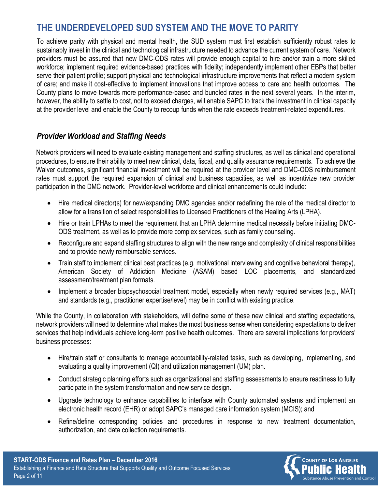# **THE UNDERDEVELOPED SUD SYSTEM AND THE MOVE TO PARITY**

To achieve parity with physical and mental health, the SUD system must first establish sufficiently robust rates to sustainably invest in the clinical and technological infrastructure needed to advance the current system of care. Network providers must be assured that new DMC-ODS rates will provide enough capital to hire and/or train a more skilled workforce; implement required evidence-based practices with fidelity; independently implement other EBPs that better serve their patient profile; support physical and technological infrastructure improvements that reflect a modern system of care; and make it cost-effective to implement innovations that improve access to care and health outcomes. The County plans to move towards more performance-based and bundled rates in the next several years. In the interim, however, the ability to settle to cost, not to exceed charges, will enable SAPC to track the investment in clinical capacity at the provider level and enable the County to recoup funds when the rate exceeds treatment-related expenditures.

#### *Provider Workload and Staffing Needs*

Network providers will need to evaluate existing management and staffing structures, as well as clinical and operational procedures, to ensure their ability to meet new clinical, data, fiscal, and quality assurance requirements. To achieve the Waiver outcomes, significant financial investment will be required at the provider level and DMC-ODS reimbursement rates must support the required expansion of clinical and business capacities, as well as incentivize new provider participation in the DMC network. Provider-level workforce and clinical enhancements could include:

- Hire medical director(s) for new/expanding DMC agencies and/or redefining the role of the medical director to allow for a transition of select responsibilities to Licensed Practitioners of the Healing Arts (LPHA).
- Hire or train LPHAs to meet the requirement that an LPHA determine medical necessity before initiating DMC-ODS treatment, as well as to provide more complex services, such as family counseling.
- Reconfigure and expand staffing structures to align with the new range and complexity of clinical responsibilities and to provide newly reimbursable services.
- Train staff to implement clinical best practices (e.g. motivational interviewing and cognitive behavioral therapy), American Society of Addiction Medicine (ASAM) based LOC placements, and standardized assessment/treatment plan formats.
- Implement a broader biopsychosocial treatment model, especially when newly required services (e.g., MAT) and standards (e.g., practitioner expertise/level) may be in conflict with existing practice.

While the County, in collaboration with stakeholders, will define some of these new clinical and staffing expectations, network providers will need to determine what makes the most business sense when considering expectations to deliver services that help individuals achieve long-term positive health outcomes. There are several implications for providers' business processes:

- Hire/train staff or consultants to manage accountability-related tasks, such as developing, implementing, and evaluating a quality improvement (QI) and utilization management (UM) plan.
- Conduct strategic planning efforts such as organizational and staffing assessments to ensure readiness to fully participate in the system transformation and new service design.
- Upgrade technology to enhance capabilities to interface with County automated systems and implement an electronic health record (EHR) or adopt SAPC's managed care information system (MCIS); and
- Refine/define corresponding policies and procedures in response to new treatment documentation, authorization, and data collection requirements.



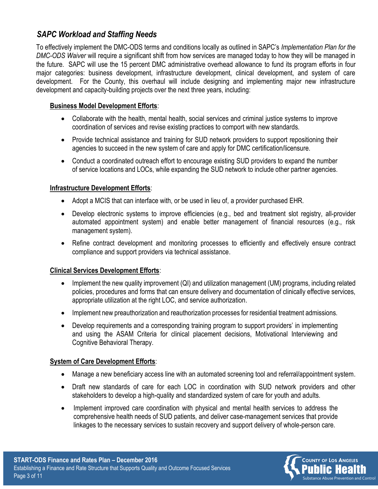### *SAPC Workload and Staffing Needs*

To effectively implement the DMC-ODS terms and conditions locally as outlined in SAPC's *Implementation Plan for the DMC-ODS Waiver* will require a significant shift from how services are managed today to how they will be managed in the future. SAPC will use the 15 percent DMC administrative overhead allowance to fund its program efforts in four major categories: business development, infrastructure development, clinical development, and system of care development. For the County, this overhaul will include designing and implementing major new infrastructure development and capacity-building projects over the next three years, including:

#### **Business Model Development Efforts**:

- Collaborate with the health, mental health, social services and criminal justice systems to improve coordination of services and revise existing practices to comport with new standards.
- Provide technical assistance and training for SUD network providers to support repositioning their agencies to succeed in the new system of care and apply for DMC certification/licensure.
- Conduct a coordinated outreach effort to encourage existing SUD providers to expand the number of service locations and LOCs, while expanding the SUD network to include other partner agencies.

#### **Infrastructure Development Efforts**:

- Adopt a MCIS that can interface with, or be used in lieu of, a provider purchased EHR.
- Develop electronic systems to improve efficiencies (e.g., bed and treatment slot registry, all-provider automated appointment system) and enable better management of financial resources (e.g., risk management system).
- Refine contract development and monitoring processes to efficiently and effectively ensure contract compliance and support providers via technical assistance.

#### **Clinical Services Development Efforts**:

- Implement the new quality improvement (QI) and utilization management (UM) programs, including related policies, procedures and forms that can ensure delivery and documentation of clinically effective services, appropriate utilization at the right LOC, and service authorization.
- Implement new preauthorization and reauthorization processes for residential treatment admissions.
- Develop requirements and a corresponding training program to support providers' in implementing and using the ASAM Criteria for clinical placement decisions, Motivational Interviewing and Cognitive Behavioral Therapy.

#### **System of Care Development Efforts**:

- Manage a new beneficiary access line with an automated screening tool and referral/appointment system.
- Draft new standards of care for each LOC in coordination with SUD network providers and other stakeholders to develop a high-quality and standardized system of care for youth and adults.
- Implement improved care coordination with physical and mental health services to address the comprehensive health needs of SUD patients, and deliver case-management services that provide linkages to the necessary services to sustain recovery and support delivery of whole-person care.

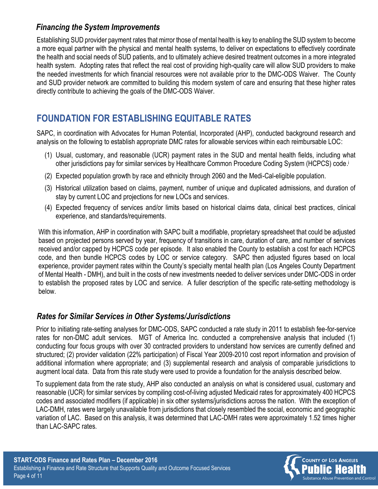### *Financing the System Improvements*

Establishing SUD provider payment rates that mirror those of mental health is key to enabling the SUD system to become a more equal partner with the physical and mental health systems, to deliver on expectations to effectively coordinate the health and social needs of SUD patients, and to ultimately achieve desired treatment outcomes in a more integrated health system. Adopting rates that reflect the real cost of providing high-quality care will allow SUD providers to make the needed investments for which financial resources were not available prior to the DMC-ODS Waiver. The County and SUD provider network are committed to building this modern system of care and ensuring that these higher rates directly contribute to achieving the goals of the DMC-ODS Waiver.

# **FOUNDATION FOR ESTABLISHING EQUITABLE RATES**

SAPC, in coordination with Advocates for Human Potential, Incorporated (AHP), conducted background research and analysis on the following to establish appropriate DMC rates for allowable services within each reimbursable LOC:

- (1) Usual, customary, and reasonable (UCR) payment rates in the SUD and mental health fields, including what other jurisdictions pay for similar services by Healthcare Common Procedure Coding System (HCPCS) code. i
- (2) Expected population growth by race and ethnicity through 2060 and the Medi-Cal-eligible population.
- (3) Historical utilization based on claims, payment, number of unique and duplicated admissions, and duration of stay by current LOC and projections for new LOCs and services.
- (4) Expected frequency of services and/or limits based on historical claims data, clinical best practices, clinical experience, and standards/requirements.

With this information, AHP in coordination with SAPC built a modifiable, proprietary spreadsheet that could be adjusted based on projected persons served by year, frequency of transitions in care, duration of care, and number of services received and/or capped by HCPCS code per episode. It also enabled the County to establish a cost for each HCPCS code, and then bundle HCPCS codes by LOC or service category. SAPC then adjusted figures based on local experience, provider payment rates within the County's specialty mental health plan (Los Angeles County Department of Mental Health - DMH), and built in the costs of new investments needed to deliver services under DMC-ODS in order to establish the proposed rates by LOC and service. A fuller description of the specific rate-setting methodology is below.

### *Rates for Similar Services in Other Systems/Jurisdictions*

Prior to initiating rate-setting analyses for DMC-ODS, SAPC conducted a rate study in 2011 to establish fee-for-service rates for non-DMC adult services. MGT of America Inc. conducted a comprehensive analysis that included (1) conducting four focus groups with over 30 contracted providers to understand how services are currently defined and structured; (2) provider validation (22% participation) of Fiscal Year 2009-2010 cost report information and provision of additional information where appropriate; and (3) supplemental research and analysis of comparable jurisdictions to augment local data. Data from this rate study were used to provide a foundation for the analysis described below.

To supplement data from the rate study, AHP also conducted an analysis on what is considered usual, customary and reasonable (UCR) for similar services by compiling cost-of-living adjusted Medicaid rates for approximately 400 HCPCS codes and associated modifiers (if applicable) in six other systems/jurisdictions across the nation. With the exception of LAC-DMH, rates were largely unavailable from jurisdictions that closely resembled the social, economic and geographic variation of LAC. Based on this analysis, it was determined that LAC-DMH rates were approximately 1.52 times higher than LAC-SAPC rates.

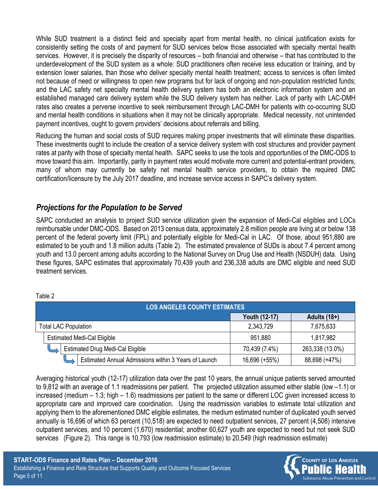While SUD treatment is a distinct field and specialty apart from mental health, no clinical justification exists for consistently setting the costs of and payment for SUD services below those associated with specialty mental health services. However, it is precisely the disparity of resources – both financial and otherwise – that has contributed to the underdevelopment of the SUD system as a whole: SUD practitioners often receive less education or training, and by extension lower salaries, than those who deliver specialty mental health treatment; access to services is often limited not because of need or willingness to open new programs but for lack of ongoing and non-population restricted funds; and the LAC safety net specialty mental health delivery system has both an electronic information system and an established managed care delivery system while the SUD delivery system has neither. Lack of parity with LAC-DMH rates also creates a perverse incentive to seek reimbursement through LAC-DMH for patients with co-occurring SUD and mental health conditions in situations when it may not be clinically appropriate. Medical necessity, not unintended payment incentives, ought to govern providers' decisions about referrals and billing.

Reducing the human and social costs of SUD requires making proper investments that will eliminate these disparities. These investments ought to include the creation of a service delivery system with cost structures and provider payment rates at parity with those of specialty mental health. SAPC seeks to use the tools and opportunities of the DMC-ODS to move toward this aim. Importantly, parity in payment rates would motivate more current and potential-entrant providers, many of whom may currently be safety net mental health service providers, to obtain the required DMC certification/licensure by the July 2017 deadline, and increase service access in SAPC's delivery system.

#### *Projections for the Population to be Served*

SAPC conducted an analysis to project SUD service utilization given the expansion of Medi-Cal eligibles and LOCs reimbursable under DMC-ODS. Based on 2013 census data, approximately 2.8 million people are living at or below 138 percent of the federal poverty limit (FPL) and potentially eligible for Medi-Cal in LAC. Of those, about 951,880 are estimated to be youth and 1.8 million adults (Table 2). The estimated prevalence of SUDs is about 7.4 percent among youth and 13.0 percent among adults according to the National Survey on Drug Use and Health (NSDUH) data. Using these figures, SAPC estimates that approximately 70,439 youth and 236,338 adults are DMC eligible and need SUD treatment services.

| <b>LOS ANGELES COUNTY ESTIMATES</b>                  |               |                 |  |
|------------------------------------------------------|---------------|-----------------|--|
|                                                      | Youth (12-17) | Adults $(18+)$  |  |
| <b>Total LAC Population</b>                          | 2,343,729     | 7,675,633       |  |
| <b>Estimated Medi-Cal Eligible</b>                   | 951,880       | 1,817,982       |  |
| <b>Estimated Drug Medi-Cal Eligible</b>              | 70,439 (7.4%) | 263,338 (13.0%) |  |
| Estimated Annual Admissions within 3 Years of Launch | 16,696 (+55%) | 88,698 (+47%)   |  |

Table 2

Averaging historical youth (12-17) utilization data over the past 10 years, the annual unique patients served amounted to 9,812 with an average of 1.1 readmissions per patient. The projected utilization assumed either stable (low –1.1) or increased (medium – 1.3; high – 1.6) readmissions per patient to the same or different LOC given increased access to appropriate care and improved care coordination. Using the readmission variables to estimate total utilization and applying them to the aforementioned DMC eligible estimates, the medium estimated number of duplicated youth served annually is 16,696 of which 63 percent (10,518) are expected to need outpatient services, 27 percent (4,508) intensive outpatient services, and 10 percent (1,670) residential; another 60,627 youth are expected to need but not seek SUD services (Figure 2). This range is 10,793 (low readmission estimate) to 20,549 (high readmission estimate)

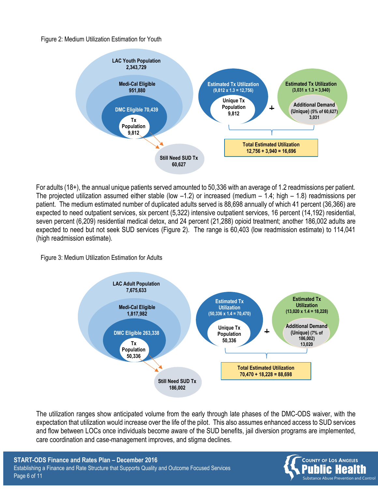Figure 2: Medium Utilization Estimation for Youth



For adults (18+), the annual unique patients served amounted to 50,336 with an average of 1.2 readmissions per patient. The projected utilization assumed either stable (low  $-1.2$ ) or increased (medium  $-1.4$ ; high  $-1.8$ ) readmissions per patient. The medium estimated number of duplicated adults served is 88,698 annually of which 41 percent (36,366) are expected to need outpatient services, six percent (5,322) intensive outpatient services, 16 percent (14,192) residential, seven percent (6,209) residential medical detox, and 24 percent (21,288) opioid treatment; another 186,002 adults are expected to need but not seek SUD services (Figure 2). The range is 60,403 (low readmission estimate) to 114,041 (high readmission estimate).

Figure 3: Medium Utilization Estimation for Adults



The utilization ranges show anticipated volume from the early through late phases of the DMC-ODS waiver, with the expectation that utilization would increase over the life of the pilot. This also assumes enhanced access to SUD services and flow between LOCs once individuals become aware of the SUD benefits, jail diversion programs are implemented, care coordination and case-management improves, and stigma declines.

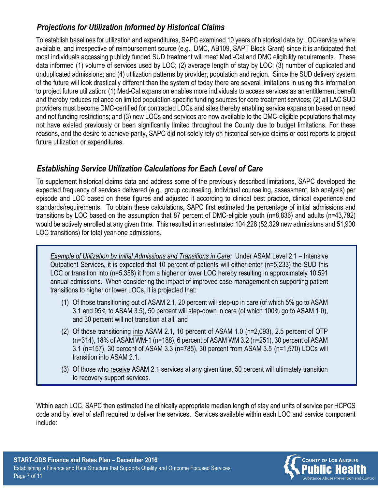## *Projections for Utilization Informed by Historical Claims*

To establish baselines for utilization and expenditures, SAPC examined 10 years of historical data by LOC/service where available, and irrespective of reimbursement source (e.g., DMC, AB109, SAPT Block Grant) since it is anticipated that most individuals accessing publicly funded SUD treatment will meet Medi-Cal and DMC eligibility requirements. These data informed (1) volume of services used by LOC; (2) average length of stay by LOC; (3) number of duplicated and unduplicated admissions; and (4) utilization patterns by provider, population and region. Since the SUD delivery system of the future will look drastically different than the system of today there are several limitations in using this information to project future utilization: (1) Med-Cal expansion enables more individuals to access services as an entitlement benefit and thereby reduces reliance on limited population-specific funding sources for core treatment services; (2) all LAC SUD providers must become DMC-certified for contracted LOCs and sites thereby enabling service expansion based on need and not funding restrictions; and (3) new LOCs and services are now available to the DMC-eligible populations that may not have existed previously or been significantly limited throughout the County due to budget limitations. For these reasons, and the desire to achieve parity, SAPC did not solely rely on historical service claims or cost reports to project future utilization or expenditures.

### *Establishing Service Utilization Calculations for Each Level of Care*

To supplement historical claims data and address some of the previously described limitations, SAPC developed the expected frequency of services delivered (e.g., group counseling, individual counseling, assessment, lab analysis) per episode and LOC based on these figures and adjusted it according to clinical best practice, clinical experience and standards/requirements. To obtain these calculations, SAPC first estimated the percentage of initial admissions and transitions by LOC based on the assumption that 87 percent of DMC-eligible youth (n=8,836) and adults (n=43,792) would be actively enrolled at any given time. This resulted in an estimated 104,228 (52,329 new admissions and 51,900 LOC transitions) for total year-one admissions.

*Example of Utilization by Initial Admissions and Transitions in Care:* Under ASAM Level 2.1 – Intensive Outpatient Services, it is expected that 10 percent of patients will either enter (n=5,233) the SUD this LOC or transition into (n=5,358) it from a higher or lower LOC hereby resulting in approximately 10,591 annual admissions. When considering the impact of improved case-management on supporting patient transitions to higher or lower LOCs, it is projected that:

- (1) Of those transitioning out of ASAM 2.1, 20 percent will step-up in care (of which 5% go to ASAM 3.1 and 95% to ASAM 3.5), 50 percent will step-down in care (of which 100% go to ASAM 1.0), and 30 percent will not transition at all; and
- (2) Of those transitioning into ASAM 2.1, 10 percent of ASAM 1.0 (n=2,093), 2.5 percent of OTP (n=314), 18% of ASAM WM-1 (n=188), 6 percent of ASAM WM 3.2 (n=251), 30 percent of ASAM 3.1 (n=157), 30 percent of ASAM 3.3 (n=785), 30 percent from ASAM 3.5 (n=1,570) LOCs will transition into ASAM 2.1.
- (3) Of those who receive ASAM 2.1 services at any given time, 50 percent will ultimately transition to recovery support services.

Within each LOC, SAPC then estimated the clinically appropriate median length of stay and units of service per HCPCS code and by level of staff required to deliver the services. Services available within each LOC and service component include:

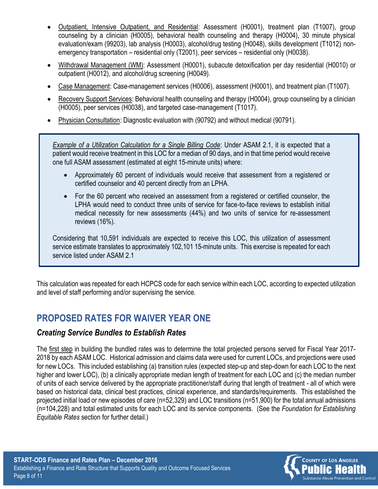- Outpatient, Intensive Outpatient, and Residential: Assessment (H0001), treatment plan (T1007), group counseling by a clinician (H0005), behavioral health counseling and therapy (H0004), 30 minute physical evaluation/exam (99203), lab analysis (H0003), alcohol/drug testing (H0048), skills development (T1012) nonemergency transportation – residential only (T2001), peer services – residential only (H0038).
- Withdrawal Management (WM): Assessment (H0001), subacute detoxification per day residential (H0010) or outpatient (H0012), and alcohol/drug screening (H0049).
- Case Management: Case-management services (H0006), assessment (H0001), and treatment plan (T1007).
- Recovery Support Services: Behavioral health counseling and therapy (H0004), group counseling by a clinician (H0005), peer services (H0038), and targeted case-management (T1017).
- Physician Consultation: Diagnostic evaluation with (90792) and without medical (90791).

*Example of a Utilization Calculation for a Single Billing Code*: Under ASAM 2.1, it is expected that a patient would receive treatment in this LOC for a median of 90 days, and in that time period would receive one full ASAM assessment (estimated at eight 15-minute units) where:

- Approximately 60 percent of individuals would receive that assessment from a registered or certified counselor and 40 percent directly from an LPHA.
- For the 60 percent who received an assessment from a registered or certified counselor, the LPHA would need to conduct three units of service for face-to-face reviews to establish initial medical necessity for new assessments (44%) and two units of service for re-assessment reviews (16%).

Considering that 10,591 individuals are expected to receive this LOC, this utilization of assessment service estimate translates to approximately 102,101 15-minute units. This exercise is repeated for each service listed under ASAM 2.1

This calculation was repeated for each HCPCS code for each service within each LOC, according to expected utilization and level of staff performing and/or supervising the service.

# **PROPOSED RATES FOR WAIVER YEAR ONE**

### *Creating Service Bundles to Establish Rates*

The first step in building the bundled rates was to determine the total projected persons served for Fiscal Year 2017- 2018 by each ASAM LOC. Historical admission and claims data were used for current LOCs, and projections were used for new LOCs. This included establishing (a) transition rules (expected step-up and step-down for each LOC to the next higher and lower LOC), (b) a clinically appropriate median length of treatment for each LOC and (c) the median number of units of each service delivered by the appropriate practitioner/staff during that length of treatment - all of which were based on historical data, clinical best practices, clinical experience, and standards/requirements. This established the projected initial load or new episodes of care (n=52,329) and LOC transitions (n=51,900) for the total annual admissions (n=104,228) and total estimated units for each LOC and its service components. (See the *Foundation for Establishing Equitable Rates* section for further detail.)

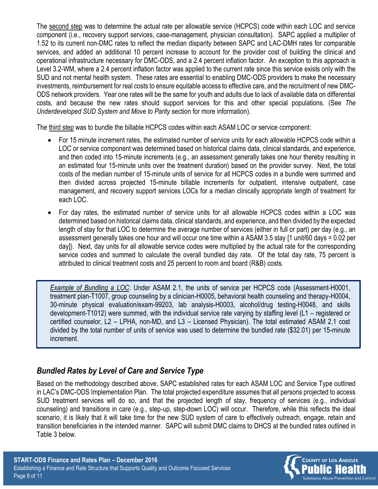The second step was to determine the actual rate per allowable service (HCPCS) code within each LOC and service component (i.e., recovery support services, case-management, physician consultation). SAPC applied a multiplier of 1.52 to its current non-DMC rates to reflect the median disparity between SAPC and LAC-DMH rates for comparable services, and added an additional 10 percent increase to account for the provider cost of building the clinical and operational infrastructure necessary for DMC-ODS, and a 2.4 percent inflation factor. An exception to this approach is Level 3.2-WM, where a 2.4 percent inflation factor was applied to the current rate since this service exists only with the SUD and not mental health system. These rates are essential to enabling DMC-ODS providers to make the necessary investments, reimbursement for real costs to ensure equitable access to effective care, and the recruitment of new DMC-ODS network providers. Year one rates will be the same for youth and adults due to lack of available data on differential costs, and because the new rates should support services for this and other special populations. (See *The Underdeveloped SUD System and Move to Parity* section for more information).

The third step was to bundle the billable HCPCS codes within each ASAM LOC or service component:

- For 15 minute increment rates, the estimated number of service units for each allowable HCPCS code within a LOC or service component was determined based on historical claims data, clinical standards, and experience, and then coded into 15-minute increments (e.g., an assessment generally takes one hour thereby resulting in an estimated four 15-minute units over the treatment duration) based on the provider survey. Next, the total costs of the median number of 15-minute units of service for all HCPCS codes in a bundle were summed and then divided across projected 15-minute billable increments for outpatient, intensive outpatient, case management, and recovery support services LOCs for a median clinically appropriate length of treatment for each LOC.
- For day rates, the estimated number of service units for all allowable HCPCS codes within a LOC was determined based on historical claims data, clinical standards, and experience, and then divided by the expected length of stay for that LOC to determine the average number of services (either in full or part) per day (e.g., an assessment generally takes one hour and will occur one time within a ASAM 3.5 stay [1 unit/60 days = 0.02 per day]). Next, day units for all allowable service codes were multiplied by the actual rate for the corresponding service codes and summed to calculate the overall bundled day rate. Of the total day rate, 75 percent is attributed to clinical treatment costs and 25 percent to room and board (R&B) costs.

*Example of Bundling a LOC*: Under ASAM 2.1, the units of service per HCPCS code (Assessment-H0001, treatment plan-T1007, group counseling by a clinician-H0005, behavioral health counseling and therapy-H0004, 30-minute physical evaluation/exam-99203, lab analysis-H0003, alcohol/drug testing-H0048, and skills development-T1012) were summed, with the individual service rate varying by staffing level (L1 – registered or certified counselor, L2 – LPHA, non-MD, and L3 – Licensed Physician). The total estimated ASAM 2.1 cost divided by the total number of units of service was used to determine the bundled rate (\$32.01) per 15-minute increment.

### *Bundled Rates by Level of Care and Service Type*

Based on the methodology described above, SAPC established rates for each ASAM LOC and Service Type outlined in LAC's DMC-ODS Implementation Plan. The total projected expenditure assumes that all persons projected to access SUD treatment services will do so, and that the projected length of stay, frequency of services (e.g., individual counseling) and transitions in care (e.g., step-up, step-down LOC) will occur. Therefore, while this reflects the ideal scenario, it is likely that it will take time for the new SUD system of care to effectively outreach, engage, retain and transition beneficiaries in the intended manner. SAPC will submit DMC claims to DHCS at the bundled rates outlined in Table 3 below.

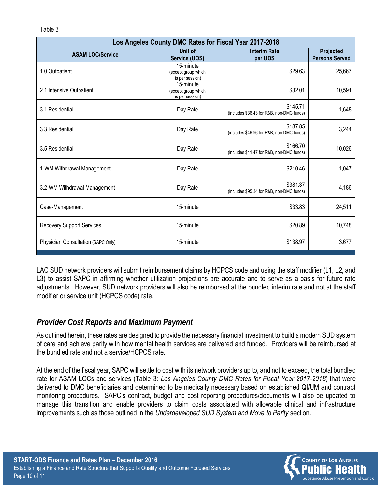| Los Angeles County DMC Rates for Fiscal Year 2017-2018 |                                                     |                                                       |                                    |  |
|--------------------------------------------------------|-----------------------------------------------------|-------------------------------------------------------|------------------------------------|--|
| <b>ASAM LOC/Service</b>                                | Unit of<br>Service (UOS)                            | <b>Interim Rate</b><br>per UOS                        | Projected<br><b>Persons Served</b> |  |
| 1.0 Outpatient                                         | 15-minute<br>(except group which<br>is per session) | \$29.63                                               | 25,667                             |  |
| 2.1 Intensive Outpatient                               | 15-minute<br>(except group which<br>is per session) | \$32.01                                               | 10,591                             |  |
| 3.1 Residential                                        | Day Rate                                            | \$145.71<br>(includes \$36.43 for R&B, non-DMC funds) | 1,648                              |  |
| 3.3 Residential                                        | Day Rate                                            | \$187.85<br>(includes \$46.96 for R&B, non-DMC funds) | 3,244                              |  |
| 3.5 Residential                                        | Day Rate                                            | \$166.70<br>(includes \$41.47 for R&B, non-DMC funds) | 10,026                             |  |
| 1-WM Withdrawal Management                             | Day Rate                                            | \$210.46                                              | 1,047                              |  |
| 3.2-WM Withdrawal Management                           | Day Rate                                            | \$381.37<br>(includes \$95.34 for R&B, non-DMC funds) | 4,186                              |  |
| Case-Management                                        | 15-minute                                           | \$33.83                                               | 24,511                             |  |
| <b>Recovery Support Services</b>                       | 15-minute                                           | \$20.89                                               | 10,748                             |  |
| Physician Consultation (SAPC Only)                     | 15-minute                                           | \$138.97                                              | 3,677                              |  |

LAC SUD network providers will submit reimbursement claims by HCPCS code and using the staff modifier (L1, L2, and L3) to assist SAPC in affirming whether utilization projections are accurate and to serve as a basis for future rate adjustments. However, SUD network providers will also be reimbursed at the bundled interim rate and not at the staff modifier or service unit (HCPCS code) rate.

### *Provider Cost Reports and Maximum Payment*

As outlined herein, these rates are designed to provide the necessary financial investment to build a modern SUD system of care and achieve parity with how mental health services are delivered and funded. Providers will be reimbursed at the bundled rate and not a service/HCPCS rate.

At the end of the fiscal year, SAPC will settle to cost with its network providers up to, and not to exceed, the total bundled rate for ASAM LOCs and services (Table 3: *Los Angeles County DMC Rates for Fiscal Year 2017-2018*) that were delivered to DMC beneficiaries and determined to be medically necessary based on established QI/UM and contract monitoring procedures. SAPC's contract, budget and cost reporting procedures/documents will also be updated to manage this transition and enable providers to claim costs associated with allowable clinical and infrastructure improvements such as those outlined in the *Underdeveloped SUD System and Move to Parity* section.